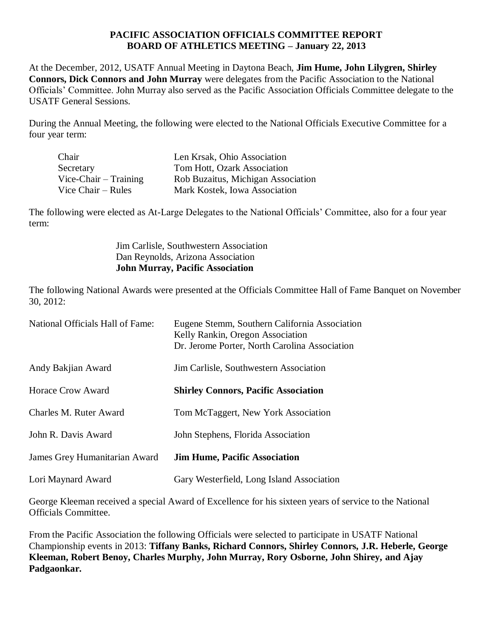## **PACIFIC ASSOCIATION OFFICIALS COMMITTEE REPORT BOARD OF ATHLETICS MEETING – January 22, 2013**

At the December, 2012, USATF Annual Meeting in Daytona Beach, **Jim Hume, John Lilygren, Shirley Connors, Dick Connors and John Murray** were delegates from the Pacific Association to the National Officials' Committee. John Murray also served as the Pacific Association Officials Committee delegate to the USATF General Sessions.

During the Annual Meeting, the following were elected to the National Officials Executive Committee for a four year term:

| Len Krsak, Ohio Association        |
|------------------------------------|
| Tom Hott, Ozark Association        |
| Rob Buzaitus, Michigan Association |
| Mark Kostek, Iowa Association      |
|                                    |

The following were elected as At-Large Delegates to the National Officials' Committee, also for a four year term:

> Jim Carlisle, Southwestern Association Dan Reynolds, Arizona Association **John Murray, Pacific Association**

The following National Awards were presented at the Officials Committee Hall of Fame Banquet on November 30, 2012:

| National Officials Hall of Fame: | Eugene Stemm, Southern California Association<br>Kelly Rankin, Oregon Association<br>Dr. Jerome Porter, North Carolina Association |
|----------------------------------|------------------------------------------------------------------------------------------------------------------------------------|
| Andy Bakjian Award               | Jim Carlisle, Southwestern Association                                                                                             |
| <b>Horace Crow Award</b>         | <b>Shirley Connors, Pacific Association</b>                                                                                        |
| Charles M. Ruter Award           | Tom McTaggert, New York Association                                                                                                |
| John R. Davis Award              | John Stephens, Florida Association                                                                                                 |
| James Grey Humanitarian Award    | <b>Jim Hume, Pacific Association</b>                                                                                               |
| Lori Maynard Award               | Gary Westerfield, Long Island Association                                                                                          |

George Kleeman received a special Award of Excellence for his sixteen years of service to the National Officials Committee.

From the Pacific Association the following Officials were selected to participate in USATF National Championship events in 2013: **Tiffany Banks, Richard Connors, Shirley Connors, J.R. Heberle, George Kleeman, Robert Benoy, Charles Murphy, John Murray, Rory Osborne, John Shirey, and Ajay Padgaonkar.**